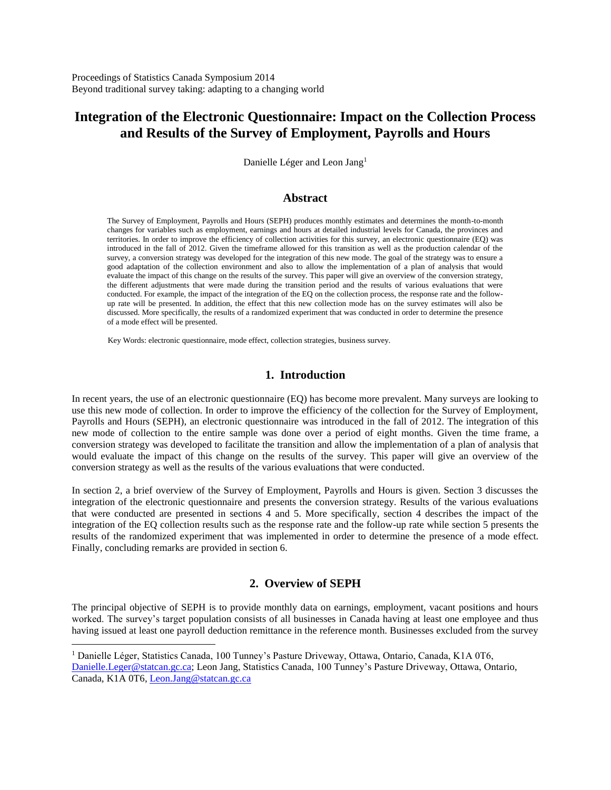Proceedings of Statistics Canada Symposium 2014 Beyond traditional survey taking: adapting to a changing world

# **Integration of the Electronic Questionnaire: Impact on the Collection Process and Results of the Survey of Employment, Payrolls and Hours**

Danielle Léger and Leon Jang<sup>1</sup>

#### **Abstract**

The Survey of Employment, Payrolls and Hours (SEPH) produces monthly estimates and determines the month-to-month changes for variables such as employment, earnings and hours at detailed industrial levels for Canada, the provinces and territories. In order to improve the efficiency of collection activities for this survey, an electronic questionnaire (EQ) was introduced in the fall of 2012. Given the timeframe allowed for this transition as well as the production calendar of the survey, a conversion strategy was developed for the integration of this new mode. The goal of the strategy was to ensure a good adaptation of the collection environment and also to allow the implementation of a plan of analysis that would evaluate the impact of this change on the results of the survey. This paper will give an overview of the conversion strategy, the different adjustments that were made during the transition period and the results of various evaluations that were conducted. For example, the impact of the integration of the EQ on the collection process, the response rate and the followup rate will be presented. In addition, the effect that this new collection mode has on the survey estimates will also be discussed. More specifically, the results of a randomized experiment that was conducted in order to determine the presence of a mode effect will be presented.

Key Words: electronic questionnaire, mode effect, collection strategies, business survey.

#### **1. Introduction**

In recent years, the use of an electronic questionnaire (EQ) has become more prevalent. Many surveys are looking to use this new mode of collection. In order to improve the efficiency of the collection for the Survey of Employment, Payrolls and Hours (SEPH), an electronic questionnaire was introduced in the fall of 2012. The integration of this new mode of collection to the entire sample was done over a period of eight months. Given the time frame, a conversion strategy was developed to facilitate the transition and allow the implementation of a plan of analysis that would evaluate the impact of this change on the results of the survey. This paper will give an overview of the conversion strategy as well as the results of the various evaluations that were conducted.

In section 2, a brief overview of the Survey of Employment, Payrolls and Hours is given. Section 3 discusses the integration of the electronic questionnaire and presents the conversion strategy. Results of the various evaluations that were conducted are presented in sections 4 and 5. More specifically, section 4 describes the impact of the integration of the EQ collection results such as the response rate and the follow-up rate while section 5 presents the results of the randomized experiment that was implemented in order to determine the presence of a mode effect. Finally, concluding remarks are provided in section 6.

#### **2. Overview of SEPH**

The principal objective of SEPH is to provide monthly data on earnings, employment, vacant positions and hours worked. The survey's target population consists of all businesses in Canada having at least one employee and thus having issued at least one payroll deduction remittance in the reference month. Businesses excluded from the survey

 $\overline{a}$ 

<sup>1</sup> Danielle Léger, Statistics Canada, 100 Tunney's Pasture Driveway, Ottawa, Ontario, Canada, K1A 0T6, [Danielle.Leger@statcan.gc.ca;](mailto:Danielle.Leger@statcan.gc.ca) Leon Jang, Statistics Canada, 100 Tunney's Pasture Driveway, Ottawa, Ontario, Canada, K1A 0T6, [Leon.Jang@statcan.gc.ca](mailto:Leon.Jang@statcan.gc.ca)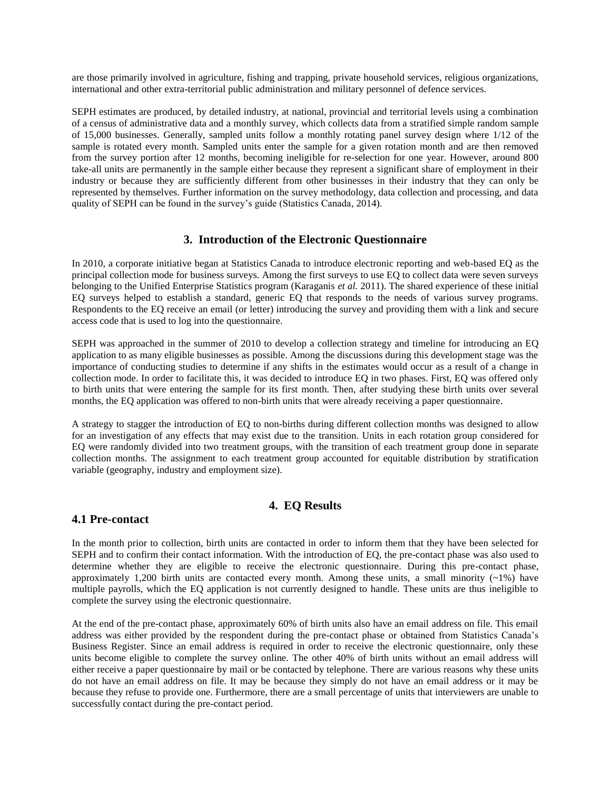are those primarily involved in agriculture, fishing and trapping, private household services, religious organizations, international and other extra-territorial public administration and military personnel of defence services.

SEPH estimates are produced, by detailed industry, at national, provincial and territorial levels using a combination of a census of administrative data and a monthly survey, which collects data from a stratified simple random sample of 15,000 businesses. Generally, sampled units follow a monthly rotating panel survey design where 1/12 of the sample is rotated every month. Sampled units enter the sample for a given rotation month and are then removed from the survey portion after 12 months, becoming ineligible for re-selection for one year. However, around 800 take-all units are permanently in the sample either because they represent a significant share of employment in their industry or because they are sufficiently different from other businesses in their industry that they can only be represented by themselves. Further information on the survey methodology, data collection and processing, and data quality of SEPH can be found in the survey's guide (Statistics Canada, 2014).

# **3. Introduction of the Electronic Questionnaire**

In 2010, a corporate initiative began at Statistics Canada to introduce electronic reporting and web-based EQ as the principal collection mode for business surveys. Among the first surveys to use EQ to collect data were seven surveys belonging to the Unified Enterprise Statistics program (Karaganis *et al.* 2011). The shared experience of these initial EQ surveys helped to establish a standard, generic EQ that responds to the needs of various survey programs. Respondents to the EQ receive an email (or letter) introducing the survey and providing them with a link and secure access code that is used to log into the questionnaire.

SEPH was approached in the summer of 2010 to develop a collection strategy and timeline for introducing an EQ application to as many eligible businesses as possible. Among the discussions during this development stage was the importance of conducting studies to determine if any shifts in the estimates would occur as a result of a change in collection mode. In order to facilitate this, it was decided to introduce EQ in two phases. First, EQ was offered only to birth units that were entering the sample for its first month. Then, after studying these birth units over several months, the EQ application was offered to non-birth units that were already receiving a paper questionnaire.

A strategy to stagger the introduction of EQ to non-births during different collection months was designed to allow for an investigation of any effects that may exist due to the transition. Units in each rotation group considered for EQ were randomly divided into two treatment groups, with the transition of each treatment group done in separate collection months. The assignment to each treatment group accounted for equitable distribution by stratification variable (geography, industry and employment size).

# **4. EQ Results**

### **4.1 Pre-contact**

In the month prior to collection, birth units are contacted in order to inform them that they have been selected for SEPH and to confirm their contact information. With the introduction of EQ, the pre-contact phase was also used to determine whether they are eligible to receive the electronic questionnaire. During this pre-contact phase, approximately 1,200 birth units are contacted every month. Among these units, a small minority  $(\sim 1\%)$  have multiple payrolls, which the EQ application is not currently designed to handle. These units are thus ineligible to complete the survey using the electronic questionnaire.

At the end of the pre-contact phase, approximately 60% of birth units also have an email address on file. This email address was either provided by the respondent during the pre-contact phase or obtained from Statistics Canada's Business Register. Since an email address is required in order to receive the electronic questionnaire, only these units become eligible to complete the survey online. The other 40% of birth units without an email address will either receive a paper questionnaire by mail or be contacted by telephone. There are various reasons why these units do not have an email address on file. It may be because they simply do not have an email address or it may be because they refuse to provide one. Furthermore, there are a small percentage of units that interviewers are unable to successfully contact during the pre-contact period.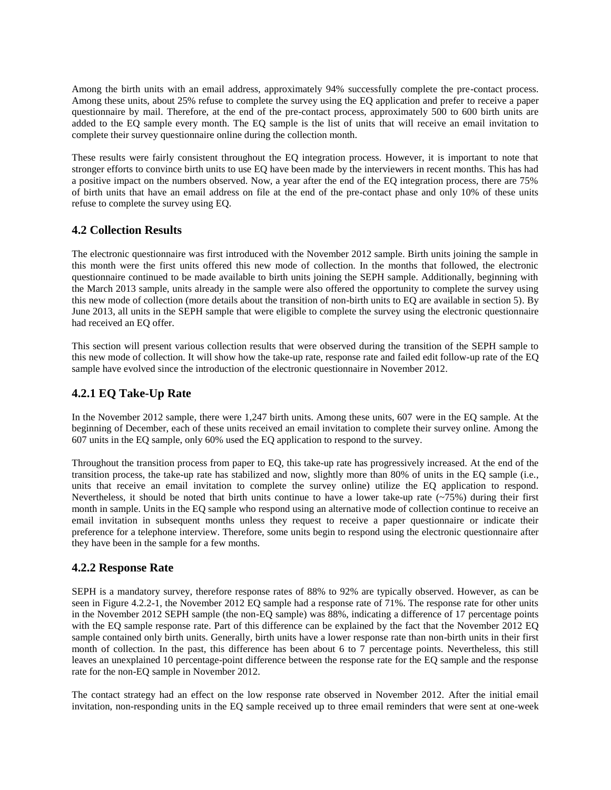Among the birth units with an email address, approximately 94% successfully complete the pre-contact process. Among these units, about 25% refuse to complete the survey using the EQ application and prefer to receive a paper questionnaire by mail. Therefore, at the end of the pre-contact process, approximately 500 to 600 birth units are added to the EQ sample every month. The EQ sample is the list of units that will receive an email invitation to complete their survey questionnaire online during the collection month.

These results were fairly consistent throughout the EQ integration process. However, it is important to note that stronger efforts to convince birth units to use EQ have been made by the interviewers in recent months. This has had a positive impact on the numbers observed. Now, a year after the end of the EQ integration process, there are 75% of birth units that have an email address on file at the end of the pre-contact phase and only 10% of these units refuse to complete the survey using EQ.

### **4.2 Collection Results**

The electronic questionnaire was first introduced with the November 2012 sample. Birth units joining the sample in this month were the first units offered this new mode of collection. In the months that followed, the electronic questionnaire continued to be made available to birth units joining the SEPH sample. Additionally, beginning with the March 2013 sample, units already in the sample were also offered the opportunity to complete the survey using this new mode of collection (more details about the transition of non-birth units to EQ are available in section 5). By June 2013, all units in the SEPH sample that were eligible to complete the survey using the electronic questionnaire had received an EQ offer.

This section will present various collection results that were observed during the transition of the SEPH sample to this new mode of collection. It will show how the take-up rate, response rate and failed edit follow-up rate of the EQ sample have evolved since the introduction of the electronic questionnaire in November 2012.

# **4.2.1 EQ Take-Up Rate**

In the November 2012 sample, there were 1,247 birth units. Among these units, 607 were in the EQ sample. At the beginning of December, each of these units received an email invitation to complete their survey online. Among the 607 units in the EQ sample, only 60% used the EQ application to respond to the survey.

Throughout the transition process from paper to EQ, this take-up rate has progressively increased. At the end of the transition process, the take-up rate has stabilized and now, slightly more than 80% of units in the EQ sample (i.e., units that receive an email invitation to complete the survey online) utilize the EQ application to respond. Nevertheless, it should be noted that birth units continue to have a lower take-up rate  $(\sim 75\%)$  during their first month in sample. Units in the EQ sample who respond using an alternative mode of collection continue to receive an email invitation in subsequent months unless they request to receive a paper questionnaire or indicate their preference for a telephone interview. Therefore, some units begin to respond using the electronic questionnaire after they have been in the sample for a few months.

### **4.2.2 Response Rate**

SEPH is a mandatory survey, therefore response rates of 88% to 92% are typically observed. However, as can be seen in Figure 4.2.2-1, the November 2012 EQ sample had a response rate of 71%. The response rate for other units in the November 2012 SEPH sample (the non-EQ sample) was 88%, indicating a difference of 17 percentage points with the EQ sample response rate. Part of this difference can be explained by the fact that the November 2012 EQ sample contained only birth units. Generally, birth units have a lower response rate than non-birth units in their first month of collection. In the past, this difference has been about 6 to 7 percentage points. Nevertheless, this still leaves an unexplained 10 percentage-point difference between the response rate for the EQ sample and the response rate for the non-EQ sample in November 2012.

The contact strategy had an effect on the low response rate observed in November 2012. After the initial email invitation, non-responding units in the EQ sample received up to three email reminders that were sent at one-week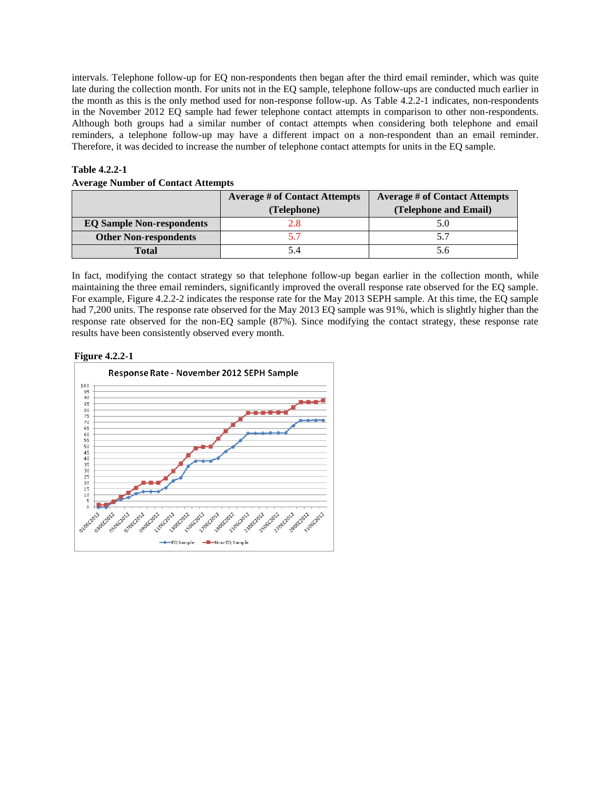intervals. Telephone follow-up for EQ non-respondents then began after the third email reminder, which was quite late during the collection month. For units not in the EQ sample, telephone follow-ups are conducted much earlier in the month as this is the only method used for non-response follow-up. As Table 4.2.2-1 indicates, non-respondents in the November 2012 EQ sample had fewer telephone contact attempts in comparison to other non-respondents. Although both groups had a similar number of contact attempts when considering both telephone and email reminders, a telephone follow-up may have a different impact on a non-respondent than an email reminder. Therefore, it was decided to increase the number of telephone contact attempts for units in the EQ sample.

#### **Table 4.2.2-1**

|  | <b>Average Number of Contact Attempts</b> |  |  |  |  |
|--|-------------------------------------------|--|--|--|--|
|--|-------------------------------------------|--|--|--|--|

|                                  | <b>Average # of Contact Attempts</b> | <b>Average # of Contact Attempts</b> |
|----------------------------------|--------------------------------------|--------------------------------------|
|                                  | (Telephone)                          | (Telephone and Email)                |
| <b>EQ Sample Non-respondents</b> |                                      | 5.0                                  |
| <b>Other Non-respondents</b>     |                                      |                                      |
| Total                            |                                      | 5.6                                  |

In fact, modifying the contact strategy so that telephone follow-up began earlier in the collection month, while maintaining the three email reminders, significantly improved the overall response rate observed for the EQ sample. For example, Figure 4.2.2-2 indicates the response rate for the May 2013 SEPH sample. At this time, the EQ sample had 7,200 units. The response rate observed for the May 2013 EQ sample was 91%, which is slightly higher than the response rate observed for the non-EQ sample (87%). Since modifying the contact strategy, these response rate results have been consistently observed every month.

#### **Figure 4.2.2-1**

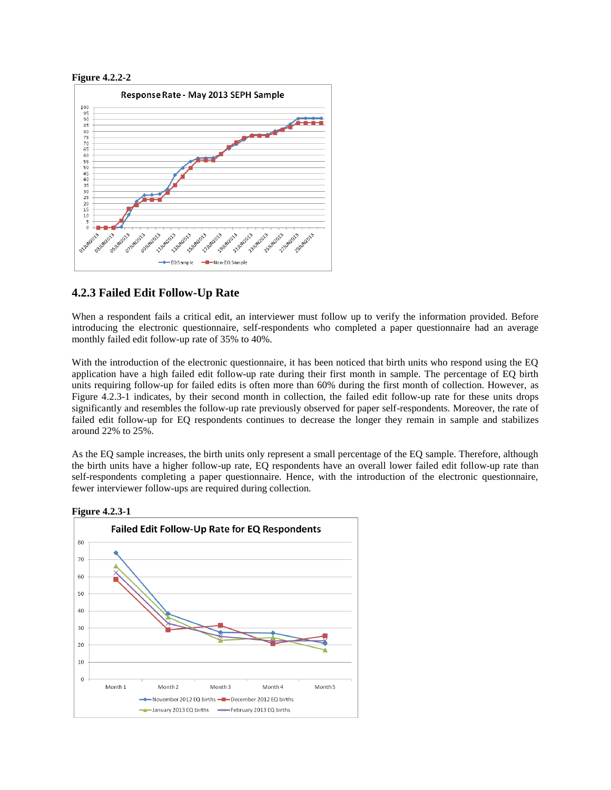

### **4.2.3 Failed Edit Follow-Up Rate**

When a respondent fails a critical edit, an interviewer must follow up to verify the information provided. Before introducing the electronic questionnaire, self-respondents who completed a paper questionnaire had an average monthly failed edit follow-up rate of 35% to 40%.

With the introduction of the electronic questionnaire, it has been noticed that birth units who respond using the EQ application have a high failed edit follow-up rate during their first month in sample. The percentage of EQ birth units requiring follow-up for failed edits is often more than 60% during the first month of collection. However, as Figure 4.2.3-1 indicates, by their second month in collection, the failed edit follow-up rate for these units drops significantly and resembles the follow-up rate previously observed for paper self-respondents. Moreover, the rate of failed edit follow-up for EQ respondents continues to decrease the longer they remain in sample and stabilizes around 22% to 25%.

As the EQ sample increases, the birth units only represent a small percentage of the EQ sample. Therefore, although the birth units have a higher follow-up rate, EQ respondents have an overall lower failed edit follow-up rate than self-respondents completing a paper questionnaire. Hence, with the introduction of the electronic questionnaire, fewer interviewer follow-ups are required during collection.

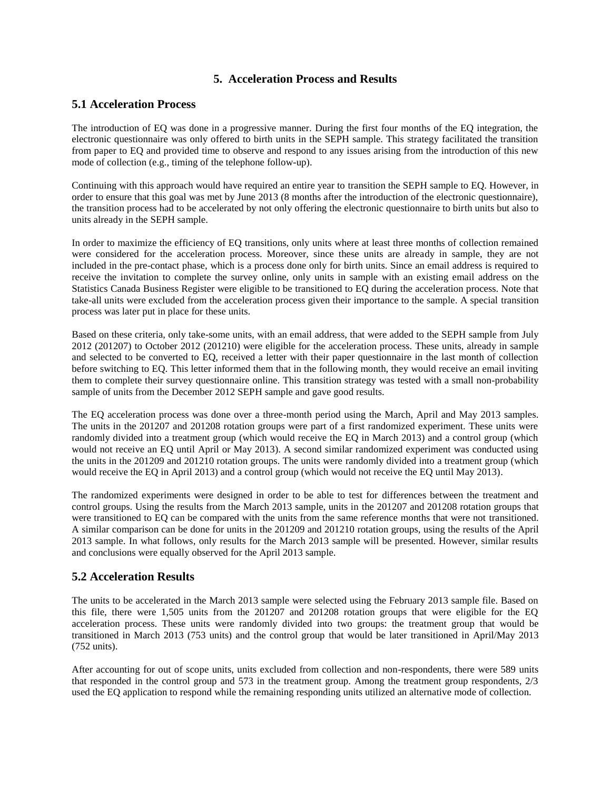# **5. Acceleration Process and Results**

### **5.1 Acceleration Process**

The introduction of EQ was done in a progressive manner. During the first four months of the EQ integration, the electronic questionnaire was only offered to birth units in the SEPH sample. This strategy facilitated the transition from paper to EQ and provided time to observe and respond to any issues arising from the introduction of this new mode of collection (e.g., timing of the telephone follow-up).

Continuing with this approach would have required an entire year to transition the SEPH sample to EQ. However, in order to ensure that this goal was met by June 2013 (8 months after the introduction of the electronic questionnaire), the transition process had to be accelerated by not only offering the electronic questionnaire to birth units but also to units already in the SEPH sample.

In order to maximize the efficiency of EQ transitions, only units where at least three months of collection remained were considered for the acceleration process. Moreover, since these units are already in sample, they are not included in the pre-contact phase, which is a process done only for birth units. Since an email address is required to receive the invitation to complete the survey online, only units in sample with an existing email address on the Statistics Canada Business Register were eligible to be transitioned to EQ during the acceleration process. Note that take-all units were excluded from the acceleration process given their importance to the sample. A special transition process was later put in place for these units.

Based on these criteria, only take-some units, with an email address, that were added to the SEPH sample from July 2012 (201207) to October 2012 (201210) were eligible for the acceleration process. These units, already in sample and selected to be converted to EQ, received a letter with their paper questionnaire in the last month of collection before switching to EQ. This letter informed them that in the following month, they would receive an email inviting them to complete their survey questionnaire online. This transition strategy was tested with a small non-probability sample of units from the December 2012 SEPH sample and gave good results.

The EQ acceleration process was done over a three-month period using the March, April and May 2013 samples. The units in the 201207 and 201208 rotation groups were part of a first randomized experiment. These units were randomly divided into a treatment group (which would receive the EQ in March 2013) and a control group (which would not receive an EQ until April or May 2013). A second similar randomized experiment was conducted using the units in the 201209 and 201210 rotation groups. The units were randomly divided into a treatment group (which would receive the EQ in April 2013) and a control group (which would not receive the EQ until May 2013).

The randomized experiments were designed in order to be able to test for differences between the treatment and control groups. Using the results from the March 2013 sample, units in the 201207 and 201208 rotation groups that were transitioned to EQ can be compared with the units from the same reference months that were not transitioned. A similar comparison can be done for units in the 201209 and 201210 rotation groups, using the results of the April 2013 sample. In what follows, only results for the March 2013 sample will be presented. However, similar results and conclusions were equally observed for the April 2013 sample.

# **5.2 Acceleration Results**

The units to be accelerated in the March 2013 sample were selected using the February 2013 sample file. Based on this file, there were 1,505 units from the 201207 and 201208 rotation groups that were eligible for the EQ acceleration process. These units were randomly divided into two groups: the treatment group that would be transitioned in March 2013 (753 units) and the control group that would be later transitioned in April/May 2013 (752 units).

After accounting for out of scope units, units excluded from collection and non-respondents, there were 589 units that responded in the control group and 573 in the treatment group. Among the treatment group respondents, 2/3 used the EQ application to respond while the remaining responding units utilized an alternative mode of collection.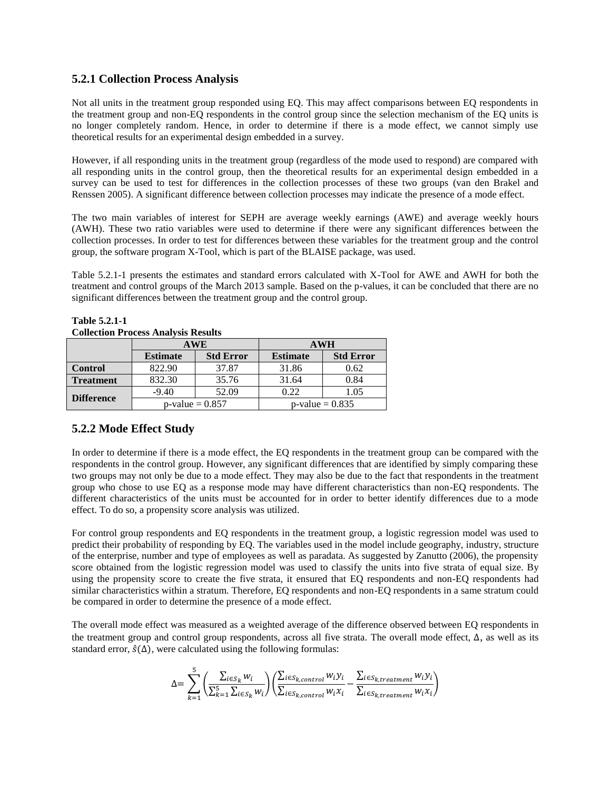## **5.2.1 Collection Process Analysis**

Not all units in the treatment group responded using EQ. This may affect comparisons between EQ respondents in the treatment group and non-EQ respondents in the control group since the selection mechanism of the EQ units is no longer completely random. Hence, in order to determine if there is a mode effect, we cannot simply use theoretical results for an experimental design embedded in a survey.

However, if all responding units in the treatment group (regardless of the mode used to respond) are compared with all responding units in the control group, then the theoretical results for an experimental design embedded in a survey can be used to test for differences in the collection processes of these two groups (van den Brakel and Renssen 2005). A significant difference between collection processes may indicate the presence of a mode effect.

The two main variables of interest for SEPH are average weekly earnings (AWE) and average weekly hours (AWH). These two ratio variables were used to determine if there were any significant differences between the collection processes. In order to test for differences between these variables for the treatment group and the control group, the software program X-Tool, which is part of the BLAISE package, was used.

Table 5.2.1-1 presents the estimates and standard errors calculated with X-Tool for AWE and AWH for both the treatment and control groups of the March 2013 sample. Based on the p-values, it can be concluded that there are no significant differences between the treatment group and the control group.

| Concellon 1 Tocess Analysis Results |                    |                  |                    |                  |  |
|-------------------------------------|--------------------|------------------|--------------------|------------------|--|
|                                     | <b>AWE</b>         |                  | <b>AWH</b>         |                  |  |
|                                     | <b>Estimate</b>    | <b>Std Error</b> | <b>Estimate</b>    | <b>Std Error</b> |  |
| <b>Control</b>                      | 822.90             | 37.87            | 31.86              | 0.62             |  |
| <b>Treatment</b>                    | 832.30             | 35.76            | 31.64              | 0.84             |  |
| <b>Difference</b>                   | $-9.40$            | 52.09            | 0.22               | 1.05             |  |
|                                     | $p$ -value = 0.857 |                  | $p$ -value = 0.835 |                  |  |

# **Table 5.2.1-1**

#### **Collection Process Analysis Results**

# **5.2.2 Mode Effect Study**

In order to determine if there is a mode effect, the EQ respondents in the treatment group can be compared with the respondents in the control group. However, any significant differences that are identified by simply comparing these two groups may not only be due to a mode effect. They may also be due to the fact that respondents in the treatment group who chose to use EQ as a response mode may have different characteristics than non-EQ respondents. The different characteristics of the units must be accounted for in order to better identify differences due to a mode effect. To do so, a propensity score analysis was utilized.

For control group respondents and EQ respondents in the treatment group, a logistic regression model was used to predict their probability of responding by EQ. The variables used in the model include geography, industry, structure of the enterprise, number and type of employees as well as paradata. As suggested by Zanutto (2006), the propensity score obtained from the logistic regression model was used to classify the units into five strata of equal size. By using the propensity score to create the five strata, it ensured that EQ respondents and non-EQ respondents had similar characteristics within a stratum. Therefore, EQ respondents and non-EQ respondents in a same stratum could be compared in order to determine the presence of a mode effect.

The overall mode effect was measured as a weighted average of the difference observed between EQ respondents in the treatment group and control group respondents, across all five strata. The overall mode effect,  $\Delta$ , as well as its standard error,  $\hat{s}(\Delta)$ , were calculated using the following formulas:

$$
\Delta = \sum_{k=1}^{5} \left( \frac{\sum_{i \in S_k} w_i}{\sum_{k=1}^{5} \sum_{i \in S_k} w_i} \right) \left( \frac{\sum_{i \in S_{k,control}} w_i y_i}{\sum_{i \in S_{k,control}} w_i x_i} - \frac{\sum_{i \in S_{k,treatment}} w_i y_i}{\sum_{i \in S_{k,treatment}} w_i x_i} \right)
$$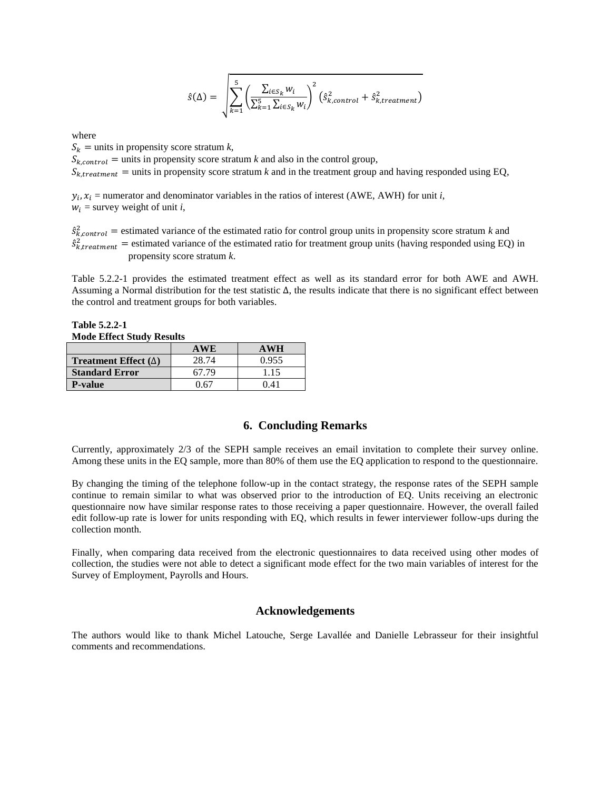$$
\hat{s}(\Delta) = \sqrt{\sum_{k=1}^{5} \left( \frac{\sum_{i \in S_k} w_i}{\sum_{k=1}^{5} \sum_{i \in S_k} w_i} \right)^2} \left( \hat{s}_{k,control}^2 + \hat{s}_{k, treatment}^2 \right)
$$

where

 $S_k$  = units in propensity score stratum *k*,

 $S_{k,control}$  = units in propensity score stratum *k* and also in the control group,

 $S_{k, treatment}$  = units in propensity score stratum *k* and in the treatment group and having responded using EQ,

 $y_i$ ,  $x_i$  = numerator and denominator variables in the ratios of interest (AWE, AWH) for unit *i*,  $w_i$  = survey weight of unit *i*,

 $\hat{s}_{k,control}^2$  = estimated variance of the estimated ratio for control group units in propensity score stratum *k* and  $\hat{s}_{k, treatment}^2$  = estimated variance of the estimated ratio for treatment group units (having responded using EQ) in propensity score stratum *k*.

Table 5.2.2-1 provides the estimated treatment effect as well as its standard error for both AWE and AWH. Assuming a Normal distribution for the test statistic ∆, the results indicate that there is no significant effect between the control and treatment groups for both variables.

**Table 5.2.2-1 Mode Effect Study Results**

|                                    | <b>AWE</b> | <b>AWH</b> |
|------------------------------------|------------|------------|
| <b>Treatment Effect</b> $(\Delta)$ | 28.74      | 0.955      |
| <b>Standard Error</b>              | 67.79      | 1.15       |
| <b>P-value</b>                     | በ 67       | 0.41       |

### **6. Concluding Remarks**

Currently, approximately 2/3 of the SEPH sample receives an email invitation to complete their survey online. Among these units in the EQ sample, more than 80% of them use the EQ application to respond to the questionnaire.

By changing the timing of the telephone follow-up in the contact strategy, the response rates of the SEPH sample continue to remain similar to what was observed prior to the introduction of EQ. Units receiving an electronic questionnaire now have similar response rates to those receiving a paper questionnaire. However, the overall failed edit follow-up rate is lower for units responding with EQ, which results in fewer interviewer follow-ups during the collection month.

Finally, when comparing data received from the electronic questionnaires to data received using other modes of collection, the studies were not able to detect a significant mode effect for the two main variables of interest for the Survey of Employment, Payrolls and Hours.

#### **Acknowledgements**

The authors would like to thank Michel Latouche, Serge Lavallée and Danielle Lebrasseur for their insightful comments and recommendations.